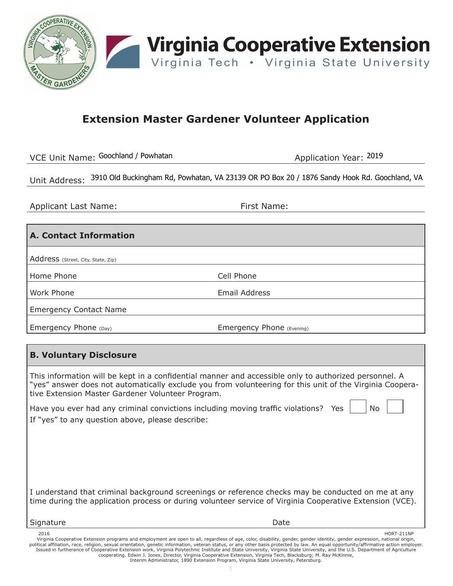

## **Extension Master Gardener Volunteer Application**

VCE Unit Name: Goochland / Powhatan

Application Year: 2019

Unit Address: 3910 Old Buckingham Rd, Powhatan, VA 23139 OR PO Box 20 / 1876 Sandy Hook Rd. Goochland, VA

Applicant Last Name: The Solid Police of the September 2011 and First Name:

## **A. Contact Information**

Address (Street, City, State, Zip)

Home Phone Cell Phone

Work Phone **Email Address** 

Emergency Contact Name

Emergency Phone (Day) Emergency Phone (Evening)

## **B. Voluntary Disclosure**

This information will be kept in a confidential manner and accessible only to authorized personnel. A "yes" answer does not automatically exclude you from volunteering for this unit of the Virginia Cooperative Extension Master Gardener Volunteer Program.

Have you ever had any criminal convictions including moving traffic violations? Yes  $\parallel$  No If "yes" to any question above, please describe:

I understand that criminal background screenings or reference checks may be conducted on me at any time during the application process or during volunteer service of Virginia Cooperative Extension (VCE).

#### Signature **Date**

HORT-211NP<br>Virginia Cooperative Extension programs and employment are open to all, regardless of age, color, disability, gender, gender identity, gender expression, national origin,<br>Virginia affiliation, race, religion, se Issued in furtherance of Cooperative Extension work, Virginia Polytechnic Institute and State University, Virginia State University, and the U.S. Department of Agriculture<br>cooperating. Edwin J. Jones, Director, Virginia Co Interim Administrator, 1890 Extension Program, Virginia State University, Petersburg.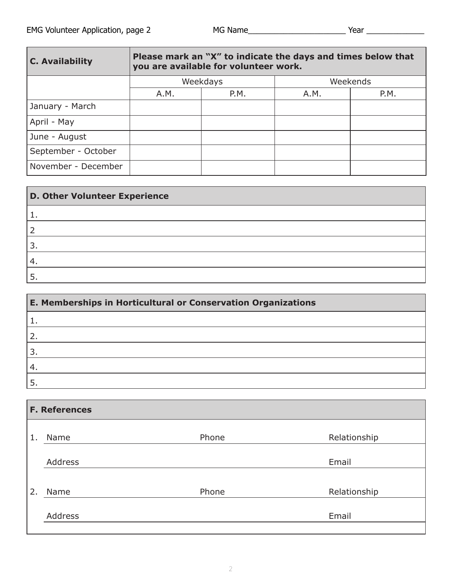| <b>C. Availability</b> | Please mark an "X" to indicate the days and times below that<br>you are available for volunteer work. |      |          |      |  |
|------------------------|-------------------------------------------------------------------------------------------------------|------|----------|------|--|
|                        | Weekdays                                                                                              |      | Weekends |      |  |
|                        | A.M.                                                                                                  | P.M. | A.M.     | P.M. |  |
| January - March        |                                                                                                       |      |          |      |  |
| April - May            |                                                                                                       |      |          |      |  |
| June - August          |                                                                                                       |      |          |      |  |
| September - October    |                                                                                                       |      |          |      |  |
| November - December    |                                                                                                       |      |          |      |  |

| <b>D. Other Volunteer Experience</b> |  |  |
|--------------------------------------|--|--|
|                                      |  |  |
|                                      |  |  |
|                                      |  |  |
|                                      |  |  |
|                                      |  |  |

| E. Memberships in Horticultural or Conservation Organizations |  |  |  |
|---------------------------------------------------------------|--|--|--|
|                                                               |  |  |  |
|                                                               |  |  |  |
|                                                               |  |  |  |
|                                                               |  |  |  |
|                                                               |  |  |  |

| <b>F. References</b> |                |       |              |  |  |
|----------------------|----------------|-------|--------------|--|--|
|                      |                |       |              |  |  |
| 1.                   | Name           | Phone | Relationship |  |  |
|                      | Address        |       | Email        |  |  |
|                      |                |       |              |  |  |
| 2.                   | Name           | Phone | Relationship |  |  |
|                      |                |       |              |  |  |
|                      | <b>Address</b> |       | Email        |  |  |
|                      |                |       |              |  |  |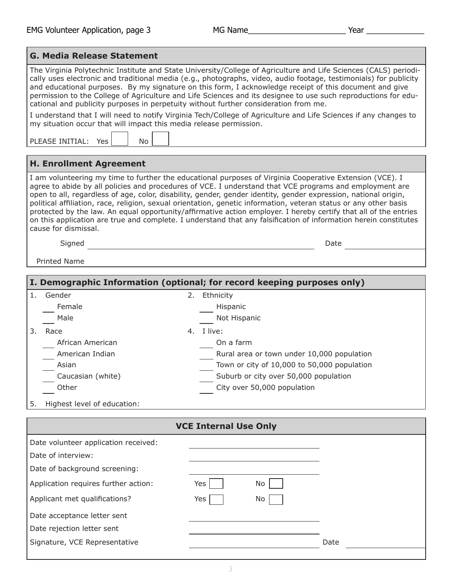$\overline{\phantom{a}}$ 

| <b>G. Media Release Statement</b>                                                                                                                                                                                                                                                                                                                                                                                                                                                                                                                                                                                                                                                                                           |                                                                         |  |  |  |  |
|-----------------------------------------------------------------------------------------------------------------------------------------------------------------------------------------------------------------------------------------------------------------------------------------------------------------------------------------------------------------------------------------------------------------------------------------------------------------------------------------------------------------------------------------------------------------------------------------------------------------------------------------------------------------------------------------------------------------------------|-------------------------------------------------------------------------|--|--|--|--|
| The Virginia Polytechnic Institute and State University/College of Agriculture and Life Sciences (CALS) periodi-<br>cally uses electronic and traditional media (e.g., photographs, video, audio footage, testimonials) for publicity<br>and educational purposes. By my signature on this form, I acknowledge receipt of this document and give<br>permission to the College of Agriculture and Life Sciences and its designee to use such reproductions for edu-<br>cational and publicity purposes in perpetuity without further consideration from me.<br>I understand that I will need to notify Virginia Tech/College of Agriculture and Life Sciences if any changes to                                              |                                                                         |  |  |  |  |
| my situation occur that will impact this media release permission.                                                                                                                                                                                                                                                                                                                                                                                                                                                                                                                                                                                                                                                          |                                                                         |  |  |  |  |
| PLEASE INITIAL: Yes<br>No.                                                                                                                                                                                                                                                                                                                                                                                                                                                                                                                                                                                                                                                                                                  |                                                                         |  |  |  |  |
| <b>H. Enrollment Agreement</b>                                                                                                                                                                                                                                                                                                                                                                                                                                                                                                                                                                                                                                                                                              |                                                                         |  |  |  |  |
| I am volunteering my time to further the educational purposes of Virginia Cooperative Extension (VCE). I<br>agree to abide by all policies and procedures of VCE. I understand that VCE programs and employment are<br>open to all, regardless of age, color, disability, gender, gender identity, gender expression, national origin,<br>political affiliation, race, religion, sexual orientation, genetic information, veteran status or any other basis<br>protected by the law. An equal opportunity/affirmative action employer. I hereby certify that all of the entries<br>on this application are true and complete. I understand that any falsification of information herein constitutes<br>cause for dismissal. |                                                                         |  |  |  |  |
| Signed                                                                                                                                                                                                                                                                                                                                                                                                                                                                                                                                                                                                                                                                                                                      | Date                                                                    |  |  |  |  |
| <b>Printed Name</b>                                                                                                                                                                                                                                                                                                                                                                                                                                                                                                                                                                                                                                                                                                         |                                                                         |  |  |  |  |
|                                                                                                                                                                                                                                                                                                                                                                                                                                                                                                                                                                                                                                                                                                                             | I. Demographic Information (optional; for record keeping purposes only) |  |  |  |  |
| 1. Gender                                                                                                                                                                                                                                                                                                                                                                                                                                                                                                                                                                                                                                                                                                                   | 2. Ethnicity                                                            |  |  |  |  |
| Female                                                                                                                                                                                                                                                                                                                                                                                                                                                                                                                                                                                                                                                                                                                      | Hispanic                                                                |  |  |  |  |
| Male                                                                                                                                                                                                                                                                                                                                                                                                                                                                                                                                                                                                                                                                                                                        | Not Hispanic                                                            |  |  |  |  |
| 3. Race                                                                                                                                                                                                                                                                                                                                                                                                                                                                                                                                                                                                                                                                                                                     | 4. I live:                                                              |  |  |  |  |
| African American                                                                                                                                                                                                                                                                                                                                                                                                                                                                                                                                                                                                                                                                                                            | On a farm                                                               |  |  |  |  |
| American Indian                                                                                                                                                                                                                                                                                                                                                                                                                                                                                                                                                                                                                                                                                                             | Rural area or town under 10,000 population                              |  |  |  |  |
| Asian                                                                                                                                                                                                                                                                                                                                                                                                                                                                                                                                                                                                                                                                                                                       | Town or city of 10,000 to 50,000 population                             |  |  |  |  |
| Caucasian (white)                                                                                                                                                                                                                                                                                                                                                                                                                                                                                                                                                                                                                                                                                                           | Suburb or city over 50,000 population                                   |  |  |  |  |
| Other                                                                                                                                                                                                                                                                                                                                                                                                                                                                                                                                                                                                                                                                                                                       | City over 50,000 population                                             |  |  |  |  |
| Highest level of education:<br>5.                                                                                                                                                                                                                                                                                                                                                                                                                                                                                                                                                                                                                                                                                           |                                                                         |  |  |  |  |
|                                                                                                                                                                                                                                                                                                                                                                                                                                                                                                                                                                                                                                                                                                                             | <b>VCE Internal Use Only</b>                                            |  |  |  |  |
| Date volunteer application received:                                                                                                                                                                                                                                                                                                                                                                                                                                                                                                                                                                                                                                                                                        |                                                                         |  |  |  |  |
| Date of interview:                                                                                                                                                                                                                                                                                                                                                                                                                                                                                                                                                                                                                                                                                                          |                                                                         |  |  |  |  |
| Date of background screening:                                                                                                                                                                                                                                                                                                                                                                                                                                                                                                                                                                                                                                                                                               |                                                                         |  |  |  |  |
| Application requires further action:                                                                                                                                                                                                                                                                                                                                                                                                                                                                                                                                                                                                                                                                                        | Yes<br>No                                                               |  |  |  |  |
| Applicant met qualifications?                                                                                                                                                                                                                                                                                                                                                                                                                                                                                                                                                                                                                                                                                               | No<br>Yes                                                               |  |  |  |  |
| Date acceptance letter sent                                                                                                                                                                                                                                                                                                                                                                                                                                                                                                                                                                                                                                                                                                 |                                                                         |  |  |  |  |
| Date rejection letter sent                                                                                                                                                                                                                                                                                                                                                                                                                                                                                                                                                                                                                                                                                                  |                                                                         |  |  |  |  |
| Signature, VCE Representative                                                                                                                                                                                                                                                                                                                                                                                                                                                                                                                                                                                                                                                                                               | Date                                                                    |  |  |  |  |